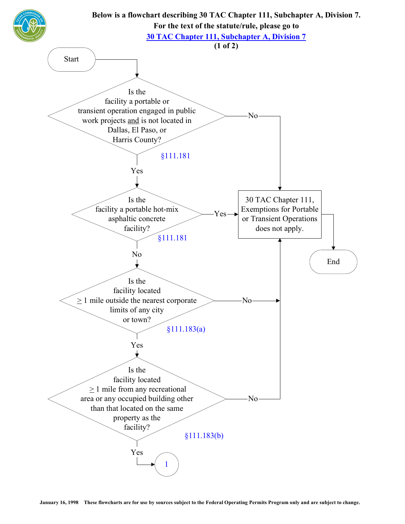